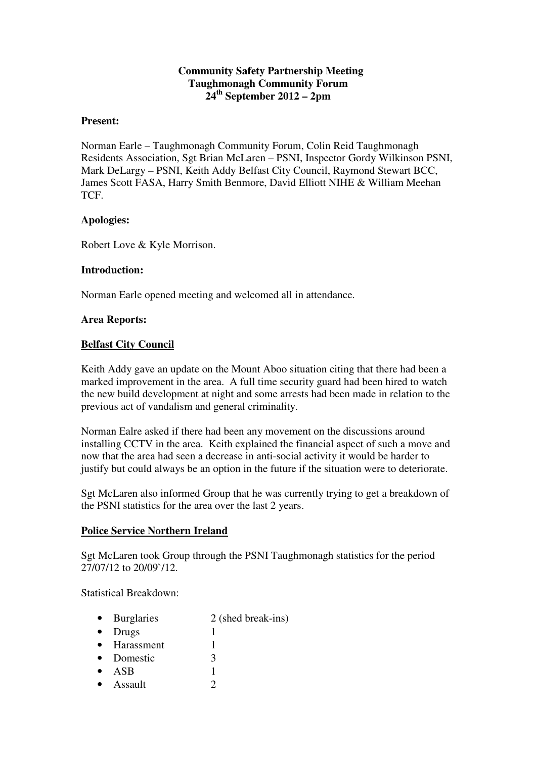## **Community Safety Partnership Meeting Taughmonagh Community Forum 24th September 2012 – 2pm**

#### **Present:**

Norman Earle – Taughmonagh Community Forum, Colin Reid Taughmonagh Residents Association, Sgt Brian McLaren – PSNI, Inspector Gordy Wilkinson PSNI, Mark DeLargy – PSNI, Keith Addy Belfast City Council, Raymond Stewart BCC, James Scott FASA, Harry Smith Benmore, David Elliott NIHE & William Meehan **TCF** 

### **Apologies:**

Robert Love & Kyle Morrison.

### **Introduction:**

Norman Earle opened meeting and welcomed all in attendance.

### **Area Reports:**

### **Belfast City Council**

Keith Addy gave an update on the Mount Aboo situation citing that there had been a marked improvement in the area. A full time security guard had been hired to watch the new build development at night and some arrests had been made in relation to the previous act of vandalism and general criminality.

Norman Ealre asked if there had been any movement on the discussions around installing CCTV in the area. Keith explained the financial aspect of such a move and now that the area had seen a decrease in anti-social activity it would be harder to justify but could always be an option in the future if the situation were to deteriorate.

Sgt McLaren also informed Group that he was currently trying to get a breakdown of the PSNI statistics for the area over the last 2 years.

#### **Police Service Northern Ireland**

Sgt McLaren took Group through the PSNI Taughmonagh statistics for the period 27/07/12 to 20/09`/12.

Statistical Breakdown:

- Burglaries  $2$  (shed break-ins)
- Drugs 1
- Harassment 1
- Domestic 3
- $ASB$  1
- Assault  $2$